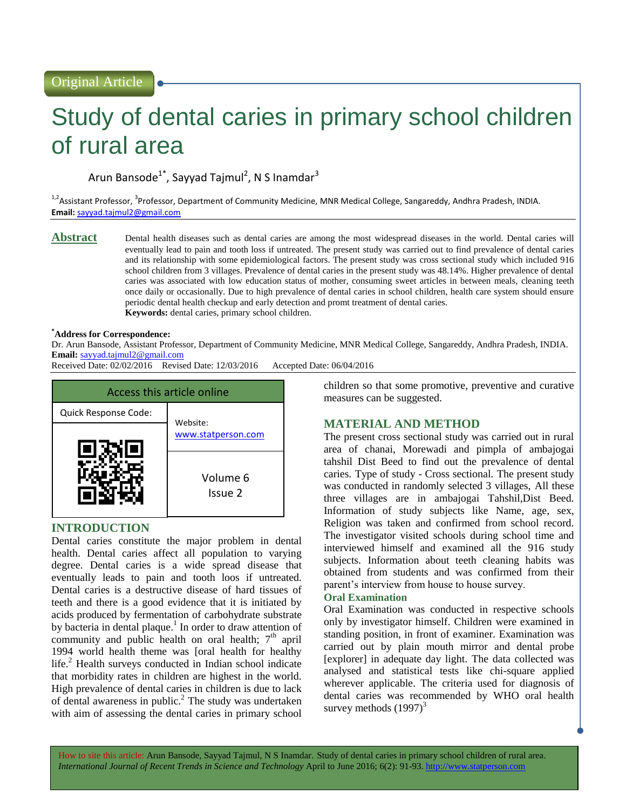# Study of dental caries in primary school children of rural area

Arun Bansode<sup>1\*</sup>, Sayyad Tajmul<sup>2</sup>, N S Inamdar<sup>3</sup>

<sup>1,2</sup>Assistant Professor, <sup>3</sup>Professor, Department of Community Medicine, MNR Medical College, Sangareddy, Andhra Pradesh, INDIA. **Email:** [sayyad.tajmul2@gmail.com](mailto:sayyad.tajmul2@gmail.com)

**Abstract** Dental health diseases such as dental caries are among the most widespread diseases in the world. Dental caries will eventually lead to pain and tooth loss if untreated. The present study was carried out to find prevalence of dental caries and its relationship with some epidemiological factors. The present study was cross sectional study which included 916 school children from 3 villages. Prevalence of dental caries in the present study was 48.14%. Higher prevalence of dental caries was associated with low education status of mother, consuming sweet articles in between meals, cleaning teeth once daily or occasionally. Due to high prevalence of dental caries in school children, health care system should ensure periodic dental health checkup and early detection and promt treatment of dental caries. **Keywords:** dental caries, primary school children.

#### **\*Address for Correspondence:**

Dr. Arun Bansode, Assistant Professor, Department of Community Medicine, MNR Medical College, Sangareddy, Andhra Pradesh, INDIA. **Email:** [sayyad.tajmul2@gmail.com](mailto:sayyad.tajmul2@gmail.com)

Received Date: 02/02/2016 Revised Date: 12/03/2016 Accepted Date: 06/04/2016



# **INTRODUCTION**

Dental caries constitute the major problem in dental health. Dental caries affect all population to varying degree. Dental caries is a wide spread disease that eventually leads to pain and tooth loos if untreated. Dental caries is a destructive disease of hard tissues of teeth and there is a good evidence that it is initiated by acids produced by fermentation of carbohydrate substrate by bacteria in dental plaque.<sup>1</sup> In order to draw attention of community and public health on oral health;  $7<sup>th</sup>$  april 1994 world health theme was [oral health for healthy life.<sup>2</sup> Health surveys conducted in Indian school indicate that morbidity rates in children are highest in the world. High prevalence of dental caries in children is due to lack of dental awareness in public.<sup>2</sup> The study was undertaken with aim of assessing the dental caries in primary school

children so that some promotive, preventive and curative measures can be suggested.

# **MATERIAL AND METHOD**

The present cross sectional study was carried out in rural area of chanai, Morewadi and pimpla of ambajogai tahshil Dist Beed to find out the prevalence of dental caries. Type of study - Cross sectional. The present study was conducted in randomly selected 3 villages, All these three villages are in ambajogai Tahshil,Dist Beed. Information of study subjects like Name, age, sex, Religion was taken and confirmed from school record. The investigator visited schools during school time and interviewed himself and examined all the 916 study subjects. Information about teeth cleaning habits was obtained from students and was confirmed from their parent's interview from house to house survey.

#### **Oral Examination**

Oral Examination was conducted in respective schools only by investigator himself. Children were examined in standing position, in front of examiner. Examination was carried out by plain mouth mirror and dental probe [explorer] in adequate day light. The data collected was analysed and statistical tests like chi-square applied wherever applicable. The criteria used for diagnosis of dental caries was recommended by WHO oral health survey methods  $(1997)^3$ 

How to site this article: Arun Bansode, Sayyad Tajmul, N S Inamdar. Study of dental caries in primary school children of rural area. *International Journal of Recent Trends in Science and Technology* April to June 2016; 6(2): 91-93. http://www.statperson.com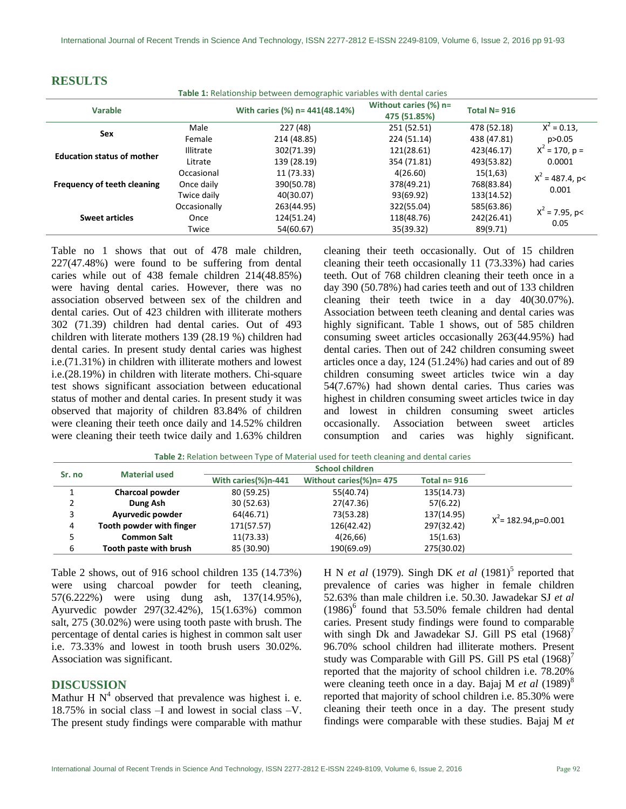| Table 1: Relationship between demographic variables with dental caries |                  |                                |                                          |                 |                             |  |  |
|------------------------------------------------------------------------|------------------|--------------------------------|------------------------------------------|-----------------|-----------------------------|--|--|
| Varable                                                                |                  | With caries (%) n= 441(48.14%) | Without caries $(\%)$ n=<br>475 (51.85%) | Total $N = 916$ |                             |  |  |
| <b>Sex</b>                                                             | Male             | 227 (48)                       | 251 (52.51)                              | 478 (52.18)     | $X^2 = 0.13$ ,              |  |  |
|                                                                        | Female           | 214 (48.85)                    | 224 (51.14)                              | 438 (47.81)     | p > 0.05                    |  |  |
| <b>Education status of mother</b>                                      | <b>Illitrate</b> | 302(71.39)                     | 121(28.61)                               | 423(46.17)      | $X^2 = 170$ , p =           |  |  |
|                                                                        | Litrate          | 139 (28.19)                    | 354 (71.81)                              | 493(53.82)      | 0.0001                      |  |  |
| Frequency of teeth cleaning                                            | Occasional       | 11 (73.33)                     | 4(26.60)                                 | 15(1,63)        | $X^2 = 487.4$ , p<<br>0.001 |  |  |
|                                                                        | Once daily       | 390(50.78)                     | 378(49.21)                               | 768(83.84)      |                             |  |  |
|                                                                        | Twice daily      | 40(30.07)                      | 93(69.92)                                | 133(14.52)      |                             |  |  |
| <b>Sweet articles</b>                                                  | Occasionally     | 263(44.95)                     | 322(55.04)                               | 585(63.86)      | $X^2$ = 7.95, p<            |  |  |
|                                                                        | Once             | 124(51.24)                     | 118(48.76)                               | 242(26.41)      |                             |  |  |
|                                                                        | Twice            | 54(60.67)                      | 35(39.32)                                | 89(9.71)        | 0.05                        |  |  |

Table no 1 shows that out of 478 male children, 227(47.48%) were found to be suffering from dental caries while out of 438 female children 214(48.85%) were having dental caries. However, there was no association observed between sex of the children and dental caries. Out of 423 children with illiterate mothers 302 (71.39) children had dental caries. Out of 493 children with literate mothers 139 (28.19 %) children had dental caries. In present study dental caries was highest i.e.(71.31%) in children with illiterate mothers and lowest i.e.(28.19%) in children with literate mothers. Chi-square test shows significant association between educational status of mother and dental caries. In present study it was observed that majority of children 83.84% of children were cleaning their teeth once daily and 14.52% children were cleaning their teeth twice daily and 1.63% children

cleaning their teeth occasionally. Out of 15 children cleaning their teeth occasionally 11 (73.33%) had caries teeth. Out of 768 children cleaning their teeth once in a day 390 (50.78%) had caries teeth and out of 133 children cleaning their teeth twice in a day 40(30.07%). Association between teeth cleaning and dental caries was highly significant. Table 1 shows, out of 585 children consuming sweet articles occasionally 263(44.95%) had dental caries. Then out of 242 children consuming sweet articles once a day, 124 (51.24%) had caries and out of 89 children consuming sweet articles twice win a day 54(7.67%) had shown dental caries. Thus caries was highest in children consuming sweet articles twice in day and lowest in children consuming sweet articles occasionally. Association between sweet articles consumption and caries was highly significant.

| Sr. no | <b>Material used</b>     |                     |                         |                 |                        |
|--------|--------------------------|---------------------|-------------------------|-----------------|------------------------|
|        |                          | With caries(%)n-441 | Without caries(%)n= 475 | Total $n = 916$ |                        |
|        | Charcoal powder          | 80 (59.25)          | 55(40.74)               | 135(14.73)      |                        |
|        | Dung Ash                 | 30(52.63)           | 27(47.36)               | 57(6.22)        |                        |
| 3      | Ayurvedic powder         | 64(46.71)           | 73(53.28)               | 137(14.95)      | $X^2$ = 182.94,p=0.001 |
| 4      | Tooth powder with finger | 171(57.57)          | 126(42.42)              | 297(32.42)      |                        |
|        | <b>Common Salt</b>       | 11(73.33)           | 4(26,66)                | 15(1.63)        |                        |
| 6      | Tooth paste with brush   | 85 (30.90)          | 190(69.09)              | 275(30.02)      |                        |

**Table 2:** Relation between Type of Material used for teeth cleaning and dental caries

Table 2 shows, out of 916 school children 135 (14.73%) were using charcoal powder for teeth cleaning, 57(6.222%) were using dung ash, 137(14.95%), Ayurvedic powder 297(32.42%), 15(1.63%) common salt, 275 (30.02%) were using tooth paste with brush. The percentage of dental caries is highest in common salt user i.e. 73.33% and lowest in tooth brush users 30.02%. Association was significant.

## **DISCUSSION**

**RESULTS**

Mathur H  $N<sup>4</sup>$  observed that prevalence was highest i. e. 18.75% in social class –I and lowest in social class –V. The present study findings were comparable with mathur

H N *et al* (1979). Singh DK *et al* (1981)<sup>5</sup> reported that prevalence of caries was higher in female children 52.63% than male children i.e. 50.30. Jawadekar SJ *et al*  $(1986)^6$  found that 53.50% female children had dental caries. Present study findings were found to comparable with singh Dk and Jawadekar SJ. Gill PS etal  $(1968)^7$ 96.70% school children had illiterate mothers. Present study was Comparable with Gill PS. Gill PS etal  $(1968)^7$ reported that the majority of school children i.e. 78.20% were cleaning teeth once in a day. Bajaj M *et al* (1989)<sup>8</sup> reported that majority of school children i.e. 85.30% were cleaning their teeth once in a day. The present study findings were comparable with these studies. Bajaj M *et*